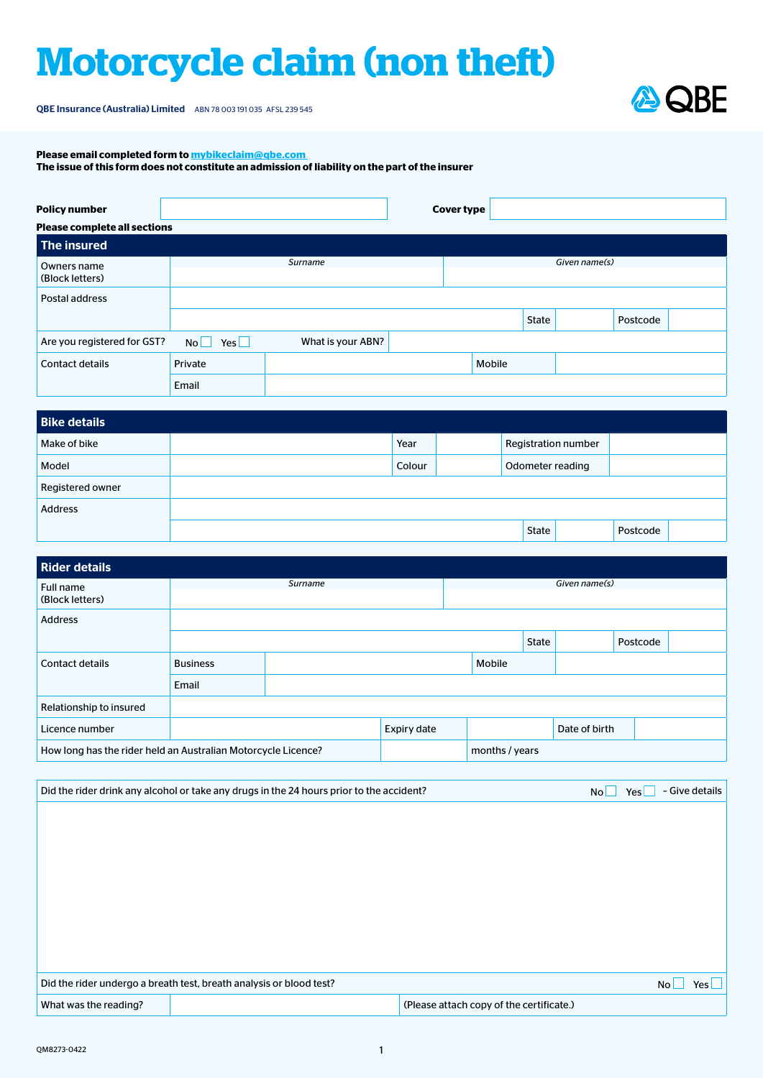## **Motorcycle claim (non theft)**

QBE Insurance (Australia) Limited ABN 78 003 191 035 AFSL 239 545



**Please email completed form to [mybikeclaim@qbe.com](mailto:mybikeclaim%40qbe.com?subject=)** 

**The issue of this form does not constitute an admission of liability on the part of the insurer**

| <b>Policy number</b>                |                      |                   |  | <b>Cover type</b> |        |       |               |          |  |
|-------------------------------------|----------------------|-------------------|--|-------------------|--------|-------|---------------|----------|--|
| <b>Please complete all sections</b> |                      |                   |  |                   |        |       |               |          |  |
| The insured                         |                      |                   |  |                   |        |       |               |          |  |
| Owners name                         |                      | Surname           |  |                   |        |       | Given name(s) |          |  |
| (Block letters)                     |                      |                   |  |                   |        |       |               |          |  |
| Postal address                      |                      |                   |  |                   |        |       |               |          |  |
|                                     |                      |                   |  |                   |        | State |               | Postcode |  |
| Are you registered for GST?         | $\mathsf{Yes}$<br>No | What is your ABN? |  |                   |        |       |               |          |  |
| <b>Contact details</b>              | Private              |                   |  |                   | Mobile |       |               |          |  |
|                                     | Email                |                   |  |                   |        |       |               |          |  |

| <b>Bike details</b> |        |                  |                     |          |  |
|---------------------|--------|------------------|---------------------|----------|--|
| Make of bike        | Year   |                  | Registration number |          |  |
| Model               | Colour | Odometer reading |                     |          |  |
| Registered owner    |        |                  |                     |          |  |
| <b>Address</b>      |        |                  |                     |          |  |
|                     |        | State            |                     | Postcode |  |

| Rider details                                                 |                 |         |             |  |                |               |          |  |  |  |
|---------------------------------------------------------------|-----------------|---------|-------------|--|----------------|---------------|----------|--|--|--|
| Full name<br>(Block letters)                                  |                 | Surname |             |  | Given name(s)  |               |          |  |  |  |
| <b>Address</b>                                                |                 |         |             |  |                |               |          |  |  |  |
|                                                               |                 |         |             |  | State          |               | Postcode |  |  |  |
| <b>Contact details</b>                                        | <b>Business</b> |         | Mobile      |  |                |               |          |  |  |  |
|                                                               | Email           |         |             |  |                |               |          |  |  |  |
| Relationship to insured                                       |                 |         |             |  |                |               |          |  |  |  |
| Licence number                                                |                 |         | Expiry date |  |                | Date of birth |          |  |  |  |
| How long has the rider held an Australian Motorcycle Licence? |                 |         |             |  | months / years |               |          |  |  |  |

|                       | Did the rider drink any alcohol or take any drugs in the 24 hours prior to the accident? |                                          | No | Yes $\sqcup$ | - Give details     |
|-----------------------|------------------------------------------------------------------------------------------|------------------------------------------|----|--------------|--------------------|
|                       |                                                                                          |                                          |    |              |                    |
|                       |                                                                                          |                                          |    |              |                    |
|                       |                                                                                          |                                          |    |              |                    |
|                       |                                                                                          |                                          |    |              |                    |
|                       |                                                                                          |                                          |    |              |                    |
|                       |                                                                                          |                                          |    |              |                    |
|                       |                                                                                          |                                          |    |              |                    |
|                       |                                                                                          |                                          |    |              |                    |
|                       | Did the rider undergo a breath test, breath analysis or blood test?                      |                                          |    |              | No l<br>Yes $\Box$ |
| What was the reading? |                                                                                          | (Please attach copy of the certificate.) |    |              |                    |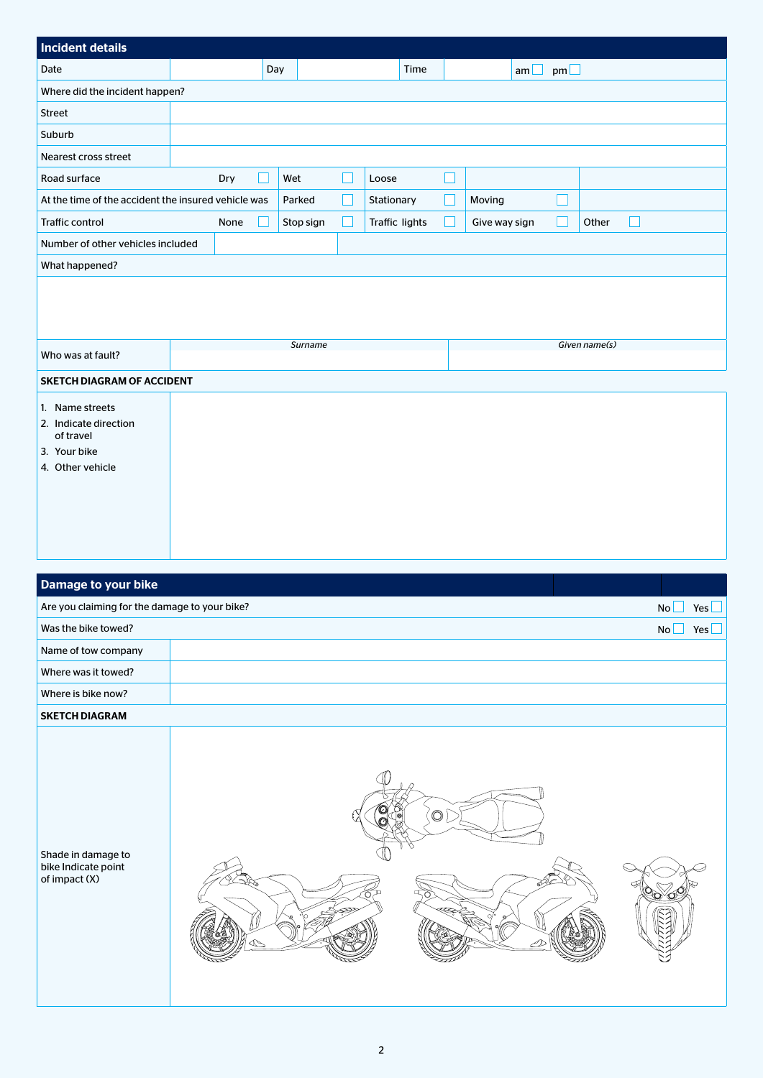| <b>Incident details</b>                             |  |      |     |           |  |                |  |               |           |               |
|-----------------------------------------------------|--|------|-----|-----------|--|----------------|--|---------------|-----------|---------------|
| Date                                                |  |      | Day |           |  | Time           |  | $am \Box$     | $pm \Box$ |               |
| Where did the incident happen?                      |  |      |     |           |  |                |  |               |           |               |
| Street                                              |  |      |     |           |  |                |  |               |           |               |
| Suburb                                              |  |      |     |           |  |                |  |               |           |               |
| Nearest cross street                                |  |      |     |           |  |                |  |               |           |               |
| Road surface                                        |  | Dry  |     | Wet       |  | Loose          |  |               |           |               |
| At the time of the accident the insured vehicle was |  |      |     | Parked    |  | Stationary     |  | Moving        |           |               |
| <b>Traffic control</b>                              |  | None |     | Stop sign |  | Traffic lights |  | Give way sign |           | Other<br>H    |
| Number of other vehicles included                   |  |      |     |           |  |                |  |               |           |               |
| What happened?                                      |  |      |     |           |  |                |  |               |           |               |
|                                                     |  |      |     |           |  |                |  |               |           |               |
|                                                     |  |      |     |           |  |                |  |               |           |               |
|                                                     |  |      |     | Surname   |  |                |  |               |           | Given name(s) |
| Who was at fault?                                   |  |      |     |           |  |                |  |               |           |               |
| <b>SKETCH DIAGRAM OF ACCIDENT</b>                   |  |      |     |           |  |                |  |               |           |               |
| 1. Name streets                                     |  |      |     |           |  |                |  |               |           |               |
| 2. Indicate direction<br>of travel                  |  |      |     |           |  |                |  |               |           |               |
| 3. Your bike                                        |  |      |     |           |  |                |  |               |           |               |
| 4. Other vehicle                                    |  |      |     |           |  |                |  |               |           |               |
|                                                     |  |      |     |           |  |                |  |               |           |               |
|                                                     |  |      |     |           |  |                |  |               |           |               |

| Damage to your bike                                        |                |                  |
|------------------------------------------------------------|----------------|------------------|
| Are you claiming for the damage to your bike?              |                | <b>No</b><br>Yes |
| Was the bike towed?                                        |                | Yes<br>No        |
| Name of tow company                                        |                |                  |
| Where was it towed?                                        |                |                  |
| Where is bike now?                                         |                |                  |
| <b>SKETCH DIAGRAM</b>                                      |                |                  |
| Shade in damage to<br>bike Indicate point<br>of impact (X) | $\circledcirc$ |                  |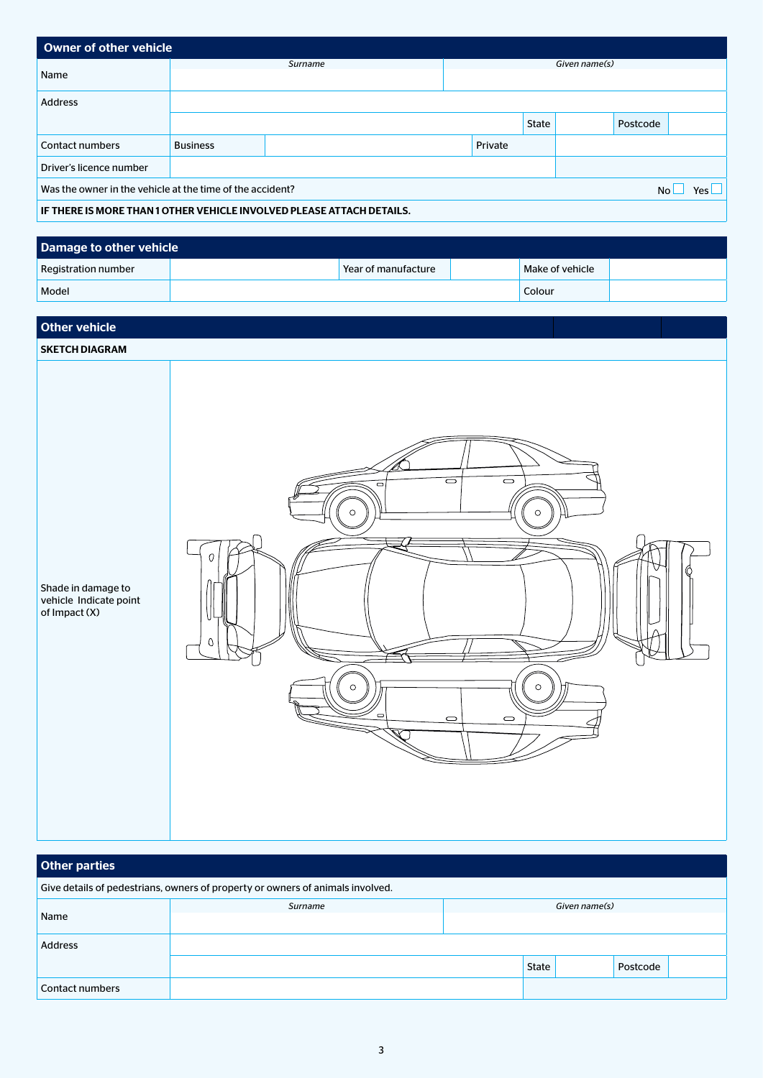| <b>Owner of other vehicle</b>                                     |                                                                       |  |  |         |       |  |            |  |  |
|-------------------------------------------------------------------|-----------------------------------------------------------------------|--|--|---------|-------|--|------------|--|--|
| Name                                                              | Given name(s)<br>Surname                                              |  |  |         |       |  |            |  |  |
|                                                                   |                                                                       |  |  |         |       |  |            |  |  |
| <b>Address</b>                                                    |                                                                       |  |  |         |       |  |            |  |  |
|                                                                   |                                                                       |  |  |         | State |  | Postcode   |  |  |
| Contact numbers                                                   | <b>Business</b>                                                       |  |  | Private |       |  |            |  |  |
| Driver's licence number                                           |                                                                       |  |  |         |       |  |            |  |  |
| Was the owner in the vehicle at the time of the accident?<br>No l |                                                                       |  |  |         |       |  | Yes $\Box$ |  |  |
|                                                                   | IF THERE IS MORE THAN 1 OTHER VEHICLE INVOLVED PLEASE ATTACH DETAILS. |  |  |         |       |  |            |  |  |

| Damage to other vehicle    |  |                     |  |                 |  |  |  |  |
|----------------------------|--|---------------------|--|-----------------|--|--|--|--|
| <b>Registration number</b> |  | Pear of manufacture |  | Make of vehicle |  |  |  |  |
| Model                      |  |                     |  | Colour          |  |  |  |  |

| <b>Other vehicle</b>                                          |                                                                                                                                                                     |
|---------------------------------------------------------------|---------------------------------------------------------------------------------------------------------------------------------------------------------------------|
| <b>SKETCH DIAGRAM</b>                                         |                                                                                                                                                                     |
| Shade in damage to<br>vehicle Indicate point<br>of Impact (X) | $\Box$<br>$\overline{\phantom{0}}$<br>$\Box$<br>$\circ$<br>$\circ$<br>0<br>$\mathsf O$<br>$\circ$<br>$\circ$<br>$\Box$<br>$\qquad \qquad \qquad \Box$<br>$\bigcirc$ |

| Other parties                                                                  |         |  |               |  |          |  |  |
|--------------------------------------------------------------------------------|---------|--|---------------|--|----------|--|--|
| Give details of pedestrians, owners of property or owners of animals involved. |         |  |               |  |          |  |  |
|                                                                                | Surname |  | Given name(s) |  |          |  |  |
| Name                                                                           |         |  |               |  |          |  |  |
| <b>Address</b>                                                                 |         |  |               |  |          |  |  |
|                                                                                |         |  | <b>State</b>  |  | Postcode |  |  |
| <b>Contact numbers</b>                                                         |         |  |               |  |          |  |  |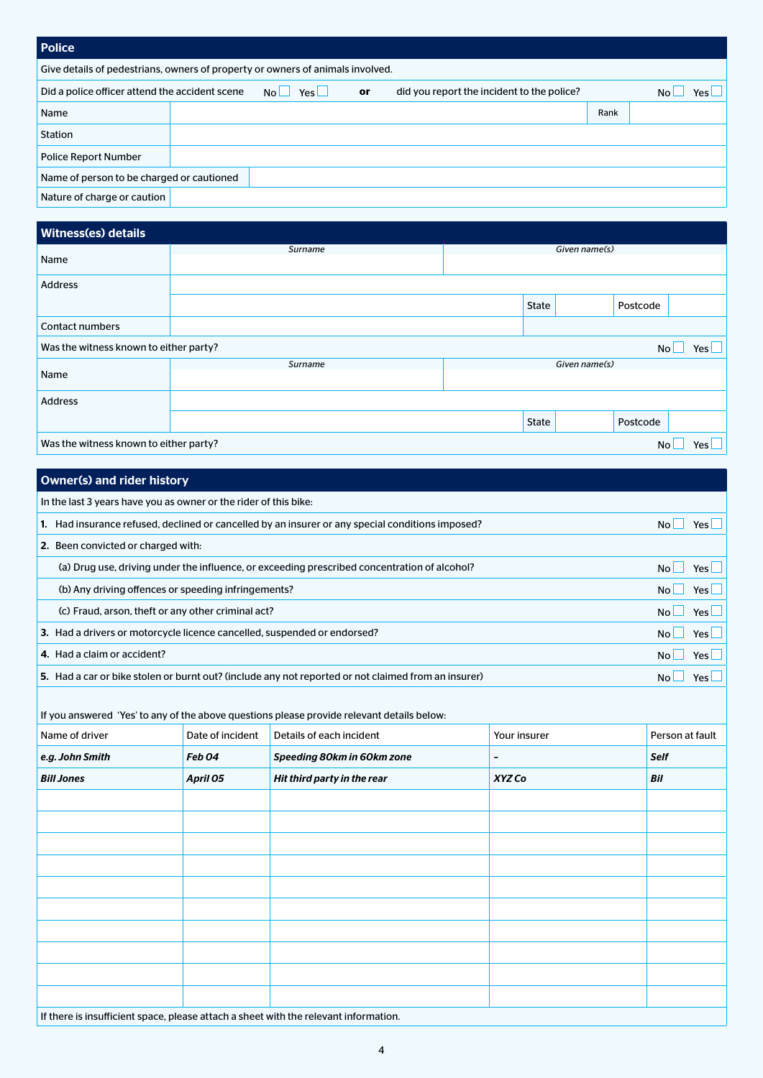| <b>Police</b>                                                                  |  |                       |    |                                            |      |            |  |  |  |
|--------------------------------------------------------------------------------|--|-----------------------|----|--------------------------------------------|------|------------|--|--|--|
| Give details of pedestrians, owners of property or owners of animals involved. |  |                       |    |                                            |      |            |  |  |  |
| Did a police officer attend the accident scene                                 |  | Yes<br>N <sub>0</sub> | or | did you report the incident to the police? |      | N٢<br>Yesl |  |  |  |
| Name                                                                           |  |                       |    |                                            | Rank |            |  |  |  |
| Station                                                                        |  |                       |    |                                            |      |            |  |  |  |
| <b>Police Report Number</b>                                                    |  |                       |    |                                            |      |            |  |  |  |
| Name of person to be charged or cautioned                                      |  |                       |    |                                            |      |            |  |  |  |
| Nature of charge or caution                                                    |  |                       |    |                                            |      |            |  |  |  |

## Witness(es) details

| Witnesstes) details                                   |         |  |               |          |       |  |
|-------------------------------------------------------|---------|--|---------------|----------|-------|--|
|                                                       | Surname |  | Given name(s) |          |       |  |
| Name                                                  |         |  |               |          |       |  |
| Address                                               |         |  |               |          |       |  |
|                                                       |         |  | State         | Postcode |       |  |
| <b>Contact numbers</b>                                |         |  |               |          |       |  |
| Was the witness known to either party?                |         |  |               | No l     | Yes L |  |
|                                                       | Surname |  | Given name(s) |          |       |  |
| Name                                                  |         |  |               |          |       |  |
| Address                                               |         |  |               |          |       |  |
|                                                       |         |  | State         | Postcode |       |  |
| Was the witness known to either party?<br>No<br>Yes l |         |  |               |          |       |  |

| <b>Owner(s) and rider history</b>                                                                   |                   |                             |                          |                 |  |  |  |
|-----------------------------------------------------------------------------------------------------|-------------------|-----------------------------|--------------------------|-----------------|--|--|--|
| In the last 3 years have you as owner or the rider of this bike:                                    |                   |                             |                          |                 |  |  |  |
| 1. Had insurance refused, declined or cancelled by an insurer or any special conditions imposed?    |                   |                             |                          |                 |  |  |  |
| 2. Been convicted or charged with:                                                                  |                   |                             |                          |                 |  |  |  |
| (a) Drug use, driving under the influence, or exceeding prescribed concentration of alcohol?        |                   |                             |                          |                 |  |  |  |
| (b) Any driving offences or speeding infringements?                                                 |                   |                             |                          |                 |  |  |  |
| (c) Fraud, arson, theft or any other criminal act?                                                  |                   |                             |                          |                 |  |  |  |
| 3. Had a drivers or motorcycle licence cancelled, suspended or endorsed?                            |                   |                             |                          |                 |  |  |  |
| 4. Had a claim or accident?                                                                         |                   |                             |                          |                 |  |  |  |
| 5. Had a car or bike stolen or burnt out? (include any not reported or not claimed from an insurer) |                   |                             |                          |                 |  |  |  |
| If you answered 'Yes' to any of the above questions please provide relevant details below:          |                   |                             |                          |                 |  |  |  |
| Name of driver                                                                                      | Date of incident  | Details of each incident    | Your insurer             | Person at fault |  |  |  |
| e.g. John Smith                                                                                     | Feb <sub>04</sub> | Speeding 80km in 60km zone  | $\overline{\phantom{a}}$ | <b>Self</b>     |  |  |  |
| <b>Bill Jones</b>                                                                                   | April 05          | Hit third party in the rear | XYZ Co                   | Bil             |  |  |  |
|                                                                                                     |                   |                             |                          |                 |  |  |  |
|                                                                                                     |                   |                             |                          |                 |  |  |  |
|                                                                                                     |                   |                             |                          |                 |  |  |  |
|                                                                                                     |                   |                             |                          |                 |  |  |  |
|                                                                                                     |                   |                             |                          |                 |  |  |  |
|                                                                                                     |                   |                             |                          |                 |  |  |  |
|                                                                                                     |                   |                             |                          |                 |  |  |  |
|                                                                                                     |                   |                             |                          |                 |  |  |  |
|                                                                                                     |                   |                             |                          |                 |  |  |  |
|                                                                                                     |                   |                             |                          |                 |  |  |  |
| If there is insufficient space, please attach a sheet with the relevant information.                |                   |                             |                          |                 |  |  |  |